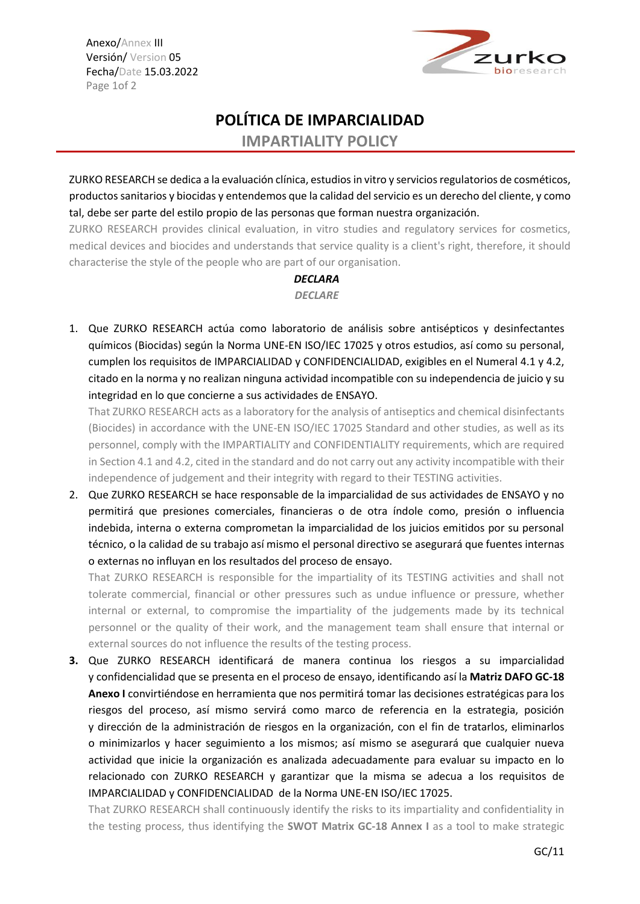Anexo/Annex III Versión/ Version 05 Fecha/Date 15.03.2022 Page 1of 2



## **POLÍTICA DE IMPARCIALIDAD**

**IMPARTIALITY POLICY**

ZURKO RESEARCH se dedica a la evaluación clínica, estudios in vitro y servicios regulatorios de cosméticos, productos sanitarios y biocidas y entendemos que la calidad del servicio es un derecho del cliente, y como tal, debe ser parte del estilo propio de las personas que forman nuestra organización.

ZURKO RESEARCH provides clinical evaluation, in vitro studies and regulatory services for cosmetics, medical devices and biocides and understands that service quality is a client's right, therefore, it should characterise the style of the people who are part of our organisation.

## *DECLARA*

## *DECLARE*

1. Que ZURKO RESEARCH actúa como laboratorio de análisis sobre antisépticos y desinfectantes químicos (Biocidas) según la Norma UNE-EN ISO/IEC 17025 y otros estudios, así como su personal, cumplen los requisitos de IMPARCIALIDAD y CONFIDENCIALIDAD, exigibles en el Numeral 4.1 y 4.2, citado en la norma y no realizan ninguna actividad incompatible con su independencia de juicio y su integridad en lo que concierne a sus actividades de ENSAYO.

That ZURKO RESEARCH acts as a laboratory for the analysis of antiseptics and chemical disinfectants (Biocides) in accordance with the UNE-EN ISO/IEC 17025 Standard and other studies, as well as its personnel, comply with the IMPARTIALITY and CONFIDENTIALITY requirements, which are required in Section 4.1 and 4.2, cited in the standard and do not carry out any activity incompatible with their independence of judgement and their integrity with regard to their TESTING activities.

2. Que ZURKO RESEARCH se hace responsable de la imparcialidad de sus actividades de ENSAYO y no permitirá que presiones comerciales, financieras o de otra índole como, presión o influencia indebida, interna o externa comprometan la imparcialidad de los juicios emitidos por su personal técnico, o la calidad de su trabajo así mismo el personal directivo se asegurará que fuentes internas o externas no influyan en los resultados del proceso de ensayo.

That ZURKO RESEARCH is responsible for the impartiality of its TESTING activities and shall not tolerate commercial, financial or other pressures such as undue influence or pressure, whether internal or external, to compromise the impartiality of the judgements made by its technical personnel or the quality of their work, and the management team shall ensure that internal or external sources do not influence the results of the testing process.

**3.** Que ZURKO RESEARCH identificará de manera continua los riesgos a su imparcialidad y confidencialidad que se presenta en el proceso de ensayo, identificando así la **Matriz DAFO GC-18 Anexo I** convirtiéndose en herramienta que nos permitirá tomar las decisiones estratégicas para los riesgos del proceso, así mismo servirá como marco de referencia en la estrategia, posición y dirección de la administración de riesgos en la organización, con el fin de tratarlos, eliminarlos o minimizarlos y hacer seguimiento a los mismos; así mismo se asegurará que cualquier nueva actividad que inicie la organización es analizada adecuadamente para evaluar su impacto en lo relacionado con ZURKO RESEARCH y garantizar que la misma se adecua a los requisitos de IMPARCIALIDAD y CONFIDENCIALIDAD de la Norma UNE-EN ISO/IEC 17025.

That ZURKO RESEARCH shall continuously identify the risks to its impartiality and confidentiality in the testing process, thus identifying the **SWOT Matrix GC-18 Annex I** as a tool to make strategic